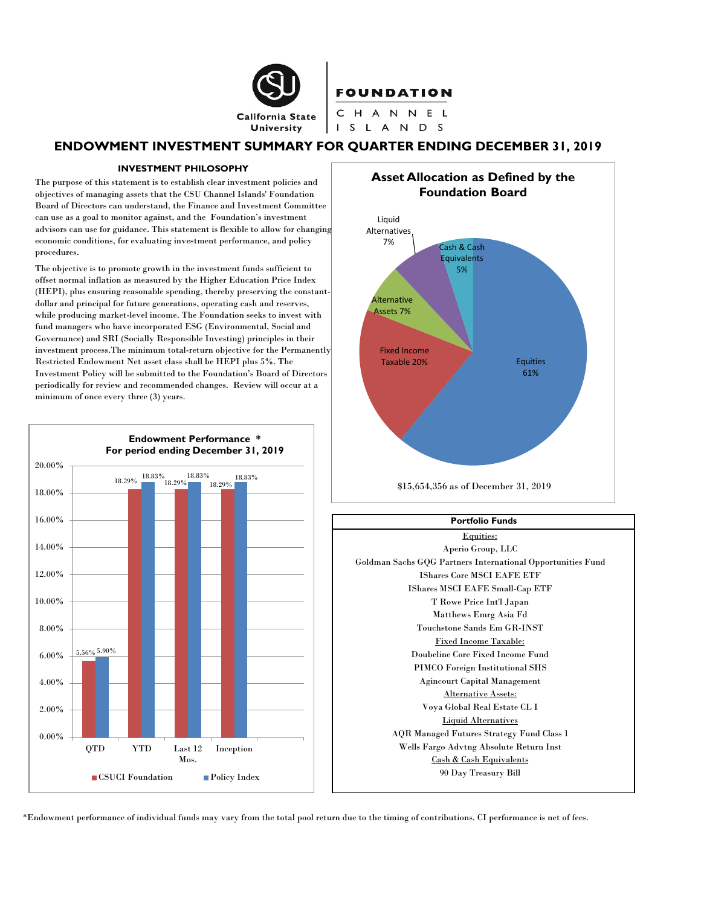

## **ENDOWMENT INVESTMENT SUMMARY FOR QUARTER ENDING DECEMBER 31, 2019**

#### **INVESTMENT PHILOSOPHY**

The purpose of this statement is to establish clear investment policies and objectives of managing assets that the CSU Channel Islands' Foundation Board of Directors can understand, the Finance and Investment Committee can use as a goal to monitor against, and the Foundation's investment advisors can use for guidance. This statement is flexible to allow for changing economic conditions, for evaluating investment performance, and policy procedures.

The objective is to promote growth in the investment funds sufficient to offset normal inflation as measured by the Higher Education Price Index (HEPI), plus ensuring reasonable spending, thereby preserving the constantdollar and principal for future generations, operating cash and reserves, while producing market-level income. The Foundation seeks to invest with fund managers who have incorporated ESG (Environmental, Social and Governance) and SRI (Socially Responsible Investing) principles in their investment process.The minimum total-return objective for the Permanently Restricted Endowment Net asset class shall be HEPI plus 5%. The Investment Policy will be submitted to the Foundation's Board of Directors periodically for review and recommended changes. Review will occur at a minimum of once every three (3) years.





\$15,654,356 as of December 31, 2019



\*Endowment performance of individual funds may vary from the total pool return due to the timing of contributions. CI performance is net of fees.